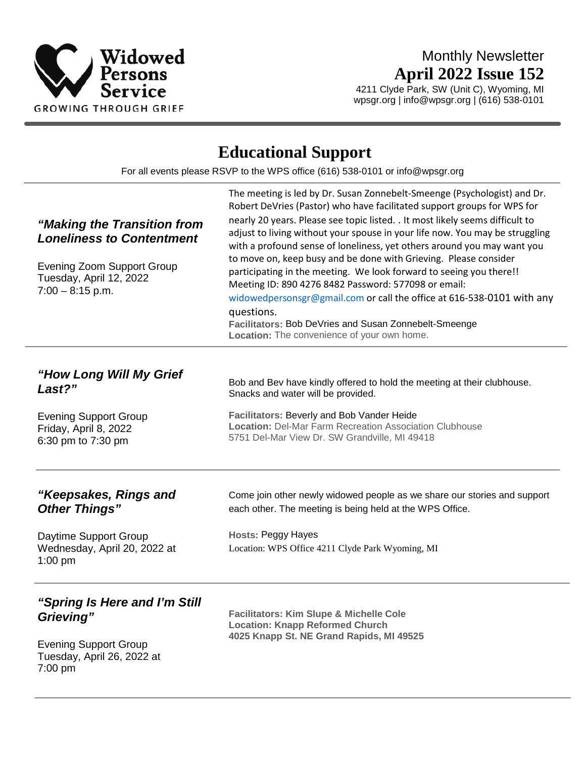

# Monthly Newsletter **April 2022 Issue 152**

4211 Clyde Park, SW (Unit C), Wyoming, MI wpsgr.org | info@wpsgr.org | (616) 538-0101

# **Educational Support**

For all events please RSVP to the WPS office (616) 538-0101 or info@wpsgr.org

| "Making the Transition from<br><b>Loneliness to Contentment</b><br><b>Evening Zoom Support Group</b><br>Tuesday, April 12, 2022<br>$7:00 - 8:15$ p.m. | The meeting is led by Dr. Susan Zonnebelt-Smeenge (Psychologist) and Dr.<br>Robert DeVries (Pastor) who have facilitated support groups for WPS for<br>nearly 20 years. Please see topic listed. . It most likely seems difficult to<br>adjust to living without your spouse in your life now. You may be struggling<br>with a profound sense of loneliness, yet others around you may want you<br>to move on, keep busy and be done with Grieving. Please consider<br>participating in the meeting. We look forward to seeing you there!!<br>Meeting ID: 890 4276 8482 Password: 577098 or email:<br>widowedpersonsgr@gmail.com or call the office at 616-538-0101 with any<br>questions.<br>Facilitators: Bob DeVries and Susan Zonnebelt-Smeenge<br>Location: The convenience of your own home. |
|-------------------------------------------------------------------------------------------------------------------------------------------------------|----------------------------------------------------------------------------------------------------------------------------------------------------------------------------------------------------------------------------------------------------------------------------------------------------------------------------------------------------------------------------------------------------------------------------------------------------------------------------------------------------------------------------------------------------------------------------------------------------------------------------------------------------------------------------------------------------------------------------------------------------------------------------------------------------|
| "How Long Will My Grief<br>Last?"<br><b>Evening Support Group</b><br>Friday, April 8, 2022<br>6:30 pm to 7:30 pm                                      | Bob and Bev have kindly offered to hold the meeting at their clubhouse.<br>Snacks and water will be provided.<br>Facilitators: Beverly and Bob Vander Heide<br><b>Location: Del-Mar Farm Recreation Association Clubhouse</b><br>5751 Del-Mar View Dr. SW Grandville, MI 49418                                                                                                                                                                                                                                                                                                                                                                                                                                                                                                                     |
| "Keepsakes, Rings and<br><b>Other Things"</b><br>Daytime Support Group<br>Wednesday, April 20, 2022 at<br>$1:00$ pm                                   | Come join other newly widowed people as we share our stories and support<br>each other. The meeting is being held at the WPS Office.<br><b>Hosts: Peggy Hayes</b><br>Location: WPS Office 4211 Clyde Park Wyoming, MI                                                                                                                                                                                                                                                                                                                                                                                                                                                                                                                                                                              |
| "Spring Is Here and I'm Still<br>Grieving"<br><b>Evening Support Group</b><br>Tuesday, April 26, 2022 at<br>7:00 pm                                   | <b>Facilitators: Kim Slupe &amp; Michelle Cole</b><br><b>Location: Knapp Reformed Church</b><br>4025 Knapp St. NE Grand Rapids, MI 49525                                                                                                                                                                                                                                                                                                                                                                                                                                                                                                                                                                                                                                                           |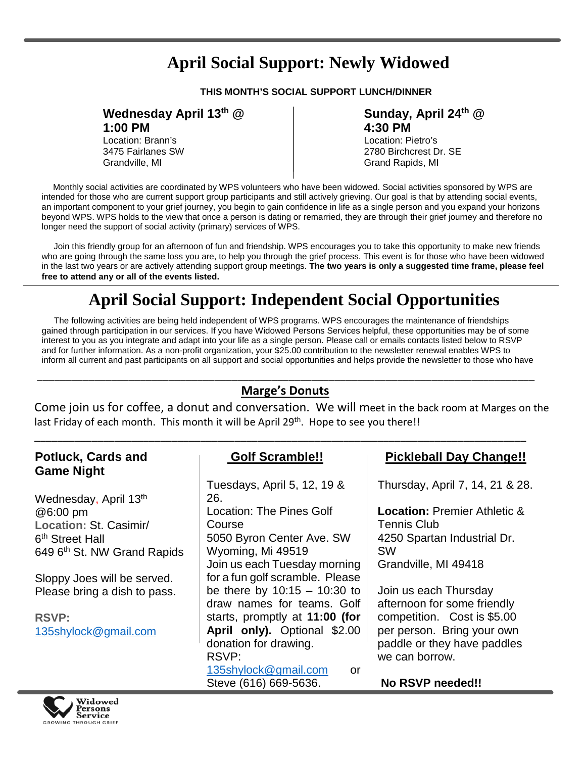# **April Social Support: Newly Widowed**

**THIS MONTH'S SOCIAL SUPPORT LUNCH/DINNER**

## **Wednesday April 13th @**

**1:00 PM**

Location: Brann's 3475 Fairlanes SW Grandville, MI

#### **Sunday, April 24th @ 4:30 PM**

Location: Pietro's 2780 Birchcrest Dr. SE Grand Rapids, MI

 intended for those who are current support group participants and still actively grieving. Our goal is that by attending social events, beyond WPS. WPS holds to the view that once a person is dating or remarried, they are through their grief journey and therefore no Monthly social activities are coordinated by WPS volunteers who have been widowed. Social activities sponsored by WPS are an important component to your grief journey, you begin to gain confidence in life as a single person and you expand your horizons longer need the support of social activity (primary) services of WPS.

 who are going through the same loss you are, to help you through the grief process. This event is for those who have been widowed Join this friendly group for an afternoon of fun and friendship. WPS encourages you to take this opportunity to make new friends in the last two years or are actively attending support group meetings. **The two years is only a suggested time frame, please feel free to attend any or all of the events listed.**

# **April Social Support: Independent Social Opportunities**

The following activities are being held independent of WPS programs. WPS encourages the maintenance of friendships gained through participation in our services. If you have Widowed Persons Services helpful, these opportunities may be of some interest to you as you integrate and adapt into your life as a single person. Please call or emails contacts listed below to RSVP and for further information. As a non-profit organization, your \$25.00 contribution to the newsletter renewal enables WPS to inform all current and past participants on all support and social opportunities and helps provide the newsletter to those who have

## \_\_\_\_\_\_\_\_\_\_\_\_\_\_\_\_\_\_\_\_\_\_\_\_\_\_\_\_\_\_\_\_\_\_\_\_\_\_\_\_\_\_\_\_\_\_\_\_\_\_\_\_\_\_\_\_\_\_\_\_\_\_\_\_\_\_\_\_\_\_\_\_\_\_\_\_\_\_\_\_\_\_\_\_\_\_\_ **Marge's Donuts**

Come join us for coffee, a donut and conversation. We will meet in the back room at Marges on the last Friday of each month. This month it will be April 29<sup>th</sup>. Hope to see you there!!

## **Potluck, Cards and Game Night**

Wednesday, April 13<sup>th</sup> @6:00 pm **Location:** St. Casimir/ 6th Street Hall 649 6<sup>th</sup> St. NW Grand Rapids

Sloppy Joes will be served. Please bring a dish to pass.

**RSVP:** [135shylock@gmail.com](mailto:135shylock@gmail.com)

## **Golf Scramble!!**

\_\_\_\_\_\_\_\_\_\_\_\_\_\_\_\_\_\_\_\_\_\_\_\_\_\_\_\_\_\_\_\_\_\_\_\_\_\_\_\_\_\_\_\_\_\_\_\_\_\_\_\_\_\_\_\_\_\_\_\_\_\_\_\_\_\_\_\_\_\_\_\_\_\_\_\_\_\_\_\_\_\_\_\_\_\_

Tuesdays, April 5, 12, 19 & 26. Location: The Pines Golf Course 5050 Byron Center Ave. SW Wyoming, Mi 49519 Join us each Tuesday morning for a fun golf scramble. Please be there by 10:15 – 10:30 to draw names for teams. Golf starts, promptly at **11:00 (for April only).** Optional \$2.00 donation for drawing. RSVP: [135shylock@gmail.com](mailto:135shylock@gmail.com) or

Steve (616) 669-5636.

 **Pickleball Day Change!!**

Thursday, April 7, 14, 21 & 28.

**Location:** Premier Athletic & Tennis Club 4250 Spartan Industrial Dr. SW Grandville, MI 49418

Join us each Thursday afternoon for some friendly competition. Cost is \$5.00 per person. Bring your own paddle or they have paddles we can borrow.



**No RSVP needed!!**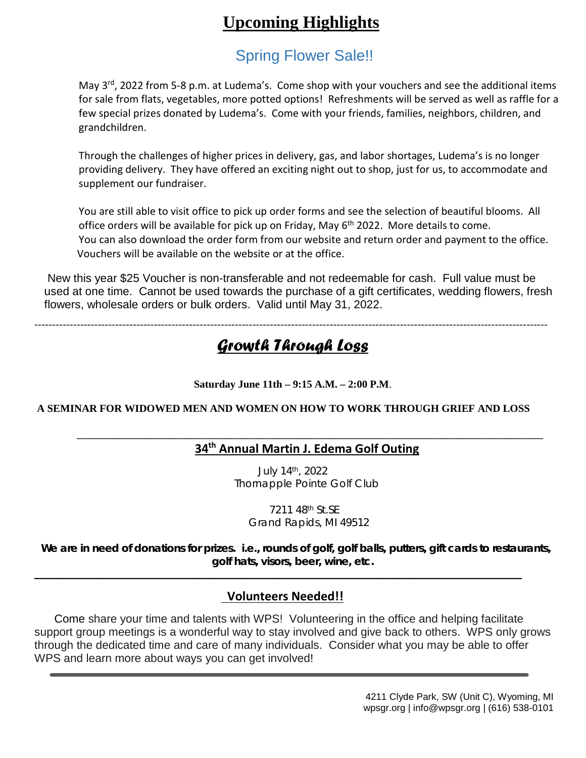# **Upcoming Highlights**

# Spring Flower Sale!!

May 3<sup>rd</sup>, 2022 from 5-8 p.m. at Ludema's. Come shop with your vouchers and see the additional items for sale from flats, vegetables, more potted options! Refreshments will be served as well as raffle for a few special prizes donated by Ludema's. Come with your friends, families, neighbors, children, and grandchildren.

Through the challenges of higher prices in delivery, gas, and labor shortages, Ludema's is no longer providing delivery. They have offered an exciting night out to shop, just for us, to accommodate and supplement our fundraiser.

You are still able to visit office to pick up order forms and see the selection of beautiful blooms. All office orders will be available for pick up on Friday, May 6<sup>th</sup> 2022. More details to come. You can also download the order form from our website and return order and payment to the office. Vouchers will be available on the website or at the office.

New this year \$25 Voucher is non-transferable and not redeemable for cash. Full value must be used at one time. Cannot be used towards the purchase of a gift certificates, wedding flowers, fresh flowers, wholesale orders or bulk orders. Valid until May 31, 2022.

--------------------------------------------------------------------------------------------------------------------------------------------------

# *Growth Through Loss*

## **Saturday June 11th – 9:15 A.M. – 2:00 P.M**.

## **A SEMINAR FOR WIDOWED MEN AND WOMEN ON HOW TO WORK THROUGH GRIEF AND LOSS**

#### \_\_\_\_\_\_\_\_\_\_\_\_\_\_\_\_\_\_\_\_\_\_\_\_\_\_\_\_\_\_\_\_\_\_\_\_\_\_\_\_\_\_\_\_\_\_\_\_\_\_\_\_\_\_\_\_\_\_\_\_\_\_\_\_\_\_\_\_\_\_\_\_\_\_\_\_\_\_\_\_\_\_\_\_\_\_\_\_\_ **34th Annual Martin J. Edema Golf Outing**

July 14th, 2022 Thornapple Pointe Golf Club

 7211 48th St.SE Grand Rapids, MI 49512

 **We are in need of donations for prizes. i.e., rounds of golf, golf balls, putters, gift cards to restaurants, golf hats, visors, beer, wine, etc.**

## **Volunteers Needed!!**

**\_\_\_\_\_\_\_\_\_\_\_\_\_\_\_\_\_\_\_\_\_\_\_\_\_\_\_\_\_\_\_\_\_\_\_\_\_\_\_\_\_\_\_\_\_\_\_\_\_\_\_\_\_\_\_\_\_\_\_\_\_\_\_\_\_\_\_\_\_\_\_\_\_\_\_\_\_\_\_\_\_\_\_\_\_\_\_\_\_\_\_\_\_**

 Come share your time and talents with WPS! Volunteering in the office and helping facilitate support group meetings is a wonderful way to stay involved and give back to others. WPS only grows through the dedicated time and care of many individuals. Consider what you may be able to offer WPS and learn more about ways you can get involved!